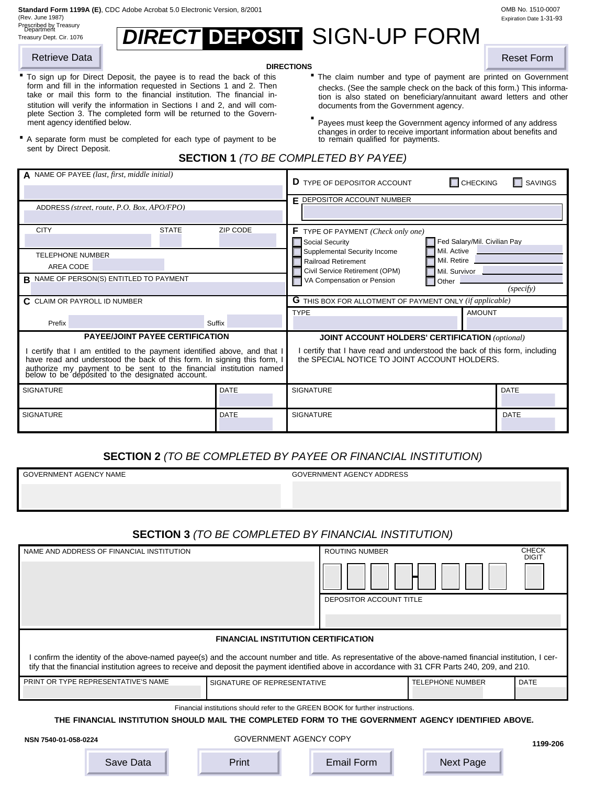**Standard Form 1199A (E)**, CDC Adobe Acrobat 5.0 Electronic Version, 8/2001 OMB No. 1510-0007

(Rev. June 1987) Prescribed by Treasury Department

| <b>DIRECT DEPOSIT SIGN-UP FORM</b> |
|------------------------------------|
|                                    |

- **DIRECTIONS**<br>To sign up for Direct Deposit, the payee is to read the back of this **The claim number and type of payment are printed on Government** form and fill in the information requested in Sections 1 and 2. Then take or mail this form to the financial institution. The financial institution will verify the information in Sections I and 2, and will complete Section 3. The completed form will be returned to the Government agency identified below. The example of any address must keep the Government agency informed of any address **.**
- sent by Direct Deposit. A separate form must be completed for each type of payment to be
	- **SECTION 1** *(TO BE COMPLETED BY PAYEE)*

| Retrieve Data                                                                                                                                                                                                                                                                                                                                                                                                                                                                    |                             | <b>DIRECTIONS</b>                                                                                                                                                                                                                                                                                                                                                                                                                          | <b>Reset Form</b>            |  |  |  |
|----------------------------------------------------------------------------------------------------------------------------------------------------------------------------------------------------------------------------------------------------------------------------------------------------------------------------------------------------------------------------------------------------------------------------------------------------------------------------------|-----------------------------|--------------------------------------------------------------------------------------------------------------------------------------------------------------------------------------------------------------------------------------------------------------------------------------------------------------------------------------------------------------------------------------------------------------------------------------------|------------------------------|--|--|--|
| " To sign up for Direct Deposit, the payee is to read the back of this<br>form and fill in the information requested in Sections 1 and 2. Then<br>take or mail this form to the financial institution. The financial in-<br>stitution will verify the information in Sections I and 2, and will com-<br>plete Section 3. The completed form will be returned to the Govern-<br>ment agency identified below.<br>A separate form must be completed for each type of payment to be |                             | " The claim number and type of payment are printed on Government<br>checks. (See the sample check on the back of this form.) This informa-<br>tion is also stated on beneficiary/annuitant award letters and other<br>documents from the Government agency.<br>Payees must keep the Government agency informed of any address<br>changes in order to receive important information about benefits and<br>to remain qualified for payments. |                              |  |  |  |
| sent by Direct Deposit.                                                                                                                                                                                                                                                                                                                                                                                                                                                          |                             | <b>SECTION 1 (TO BE COMPLETED BY PAYEE)</b>                                                                                                                                                                                                                                                                                                                                                                                                |                              |  |  |  |
| A NAME OF PAYEE (last, first, middle initial)                                                                                                                                                                                                                                                                                                                                                                                                                                    |                             | $\Box$ CHECKING<br><b>D</b> TYPE OF DEPOSITOR ACCOUNT                                                                                                                                                                                                                                                                                                                                                                                      | $\Box$ SAVINGS               |  |  |  |
|                                                                                                                                                                                                                                                                                                                                                                                                                                                                                  |                             | <b>F</b> DEPOSITOR ACCOUNT NUMBER                                                                                                                                                                                                                                                                                                                                                                                                          |                              |  |  |  |
| ADDRESS (street. route. P.O. Box. APO/FPO)                                                                                                                                                                                                                                                                                                                                                                                                                                       |                             |                                                                                                                                                                                                                                                                                                                                                                                                                                            |                              |  |  |  |
| <b>CITY</b><br><b>STATE</b>                                                                                                                                                                                                                                                                                                                                                                                                                                                      | ZIP CODE                    | $\mathsf F$ TYPE OF PAYMENT (Check only one)<br>Social Security                                                                                                                                                                                                                                                                                                                                                                            | Fed Salary/Mil. Civilian Pay |  |  |  |
| <b>TELEPHONE NUMBER</b>                                                                                                                                                                                                                                                                                                                                                                                                                                                          |                             | Mil. Active<br>Supplemental Security Income<br>Mil. Retire.<br>Railroad Retirement                                                                                                                                                                                                                                                                                                                                                         |                              |  |  |  |
| AREA CODE<br><b>B</b> NAME OF PERSON(S) ENTITLED TO PAYMENT                                                                                                                                                                                                                                                                                                                                                                                                                      |                             | Civil Service Retirement (OPM)<br>Mil. Survivor<br>VA Compensation or Pension<br>Other                                                                                                                                                                                                                                                                                                                                                     |                              |  |  |  |
| C CLAIM OR PAYROLL ID NUMBER                                                                                                                                                                                                                                                                                                                                                                                                                                                     |                             | <b>G</b> THIS BOX FOR ALLOTMENT OF PAYMENT ONLY (if applicable)                                                                                                                                                                                                                                                                                                                                                                            | (specify)                    |  |  |  |
|                                                                                                                                                                                                                                                                                                                                                                                                                                                                                  |                             | <b>TYPE</b>                                                                                                                                                                                                                                                                                                                                                                                                                                | <b>AMOUNT</b>                |  |  |  |
| Prefix<br><b>PAYEE/JOINT PAYEE CERTIFICATION</b>                                                                                                                                                                                                                                                                                                                                                                                                                                 | Suffix                      | JOINT ACCOUNT HOLDERS' CERTIFICATION (optional)                                                                                                                                                                                                                                                                                                                                                                                            |                              |  |  |  |
| I certify that I am entitled to the payment identified above, and that I<br>have read and understood the back of this form. In signing this form, I<br>authorize my payment to be sent to the financial institution named below to be deposited to the designated account.                                                                                                                                                                                                       |                             | I certify that I have read and understood the back of this form, including<br>the SPECIAL NOTICE TO JOINT ACCOUNT HOLDERS.                                                                                                                                                                                                                                                                                                                 |                              |  |  |  |
| <b>SIGNATURE</b>                                                                                                                                                                                                                                                                                                                                                                                                                                                                 | <b>DATE</b>                 | <b>SIGNATURE</b>                                                                                                                                                                                                                                                                                                                                                                                                                           | <b>DATE</b>                  |  |  |  |
| <b>SIGNATURE</b>                                                                                                                                                                                                                                                                                                                                                                                                                                                                 | <b>DATE</b>                 | <b>SIGNATURE</b>                                                                                                                                                                                                                                                                                                                                                                                                                           | <b>DATE</b>                  |  |  |  |
| <b>SECTION 2</b> (TO BE COMPLETED BY PAYEE OR FINANCIAL INSTITUTION)<br>GOVERNMENT AGENCY NAME<br><b>GOVERNMENT AGENCY ADDRESS</b>                                                                                                                                                                                                                                                                                                                                               |                             |                                                                                                                                                                                                                                                                                                                                                                                                                                            |                              |  |  |  |
|                                                                                                                                                                                                                                                                                                                                                                                                                                                                                  |                             | <b>SECTION 3</b> (TO BE COMPLETED BY FINANCIAL INSTITUTION)                                                                                                                                                                                                                                                                                                                                                                                |                              |  |  |  |
| NAME AND ADDRESS OF FINANCIAL INSTITUTION                                                                                                                                                                                                                                                                                                                                                                                                                                        |                             | <b>ROUTING NUMBER</b>                                                                                                                                                                                                                                                                                                                                                                                                                      | <b>CHECK</b><br><b>DIGIT</b> |  |  |  |
|                                                                                                                                                                                                                                                                                                                                                                                                                                                                                  |                             |                                                                                                                                                                                                                                                                                                                                                                                                                                            |                              |  |  |  |
|                                                                                                                                                                                                                                                                                                                                                                                                                                                                                  |                             | DEPOSITOR ACCOUNT TITLE                                                                                                                                                                                                                                                                                                                                                                                                                    |                              |  |  |  |
|                                                                                                                                                                                                                                                                                                                                                                                                                                                                                  |                             |                                                                                                                                                                                                                                                                                                                                                                                                                                            |                              |  |  |  |
|                                                                                                                                                                                                                                                                                                                                                                                                                                                                                  |                             | <b>FINANCIAL INSTITUTION CERTIFICATION</b>                                                                                                                                                                                                                                                                                                                                                                                                 |                              |  |  |  |
|                                                                                                                                                                                                                                                                                                                                                                                                                                                                                  |                             | I confirm the identity of the above-named payee(s) and the account number and title. As representative of the above-named financial institution, I cer-<br>tify that the financial institution agrees to receive and deposit the payment identified above in accordance with 31 CFR Parts 240, 209, and 210.                                                                                                                               |                              |  |  |  |
| PRINT OR TYPE REPRESENTATIVE'S NAME                                                                                                                                                                                                                                                                                                                                                                                                                                              | SIGNATURE OF REPRESENTATIVE | <b>TELEPHONE NUMBER</b>                                                                                                                                                                                                                                                                                                                                                                                                                    | DATE                         |  |  |  |
|                                                                                                                                                                                                                                                                                                                                                                                                                                                                                  |                             | Financial institutions should refer to the GREEN BOOK for further instructions.                                                                                                                                                                                                                                                                                                                                                            |                              |  |  |  |
|                                                                                                                                                                                                                                                                                                                                                                                                                                                                                  |                             | THE FINANCIAL INSTITUTION SHOULD MAIL THE COMPLETED FORM TO THE GOVERNMENT AGENCY IDENTIFIED ABOVE.                                                                                                                                                                                                                                                                                                                                        |                              |  |  |  |
| NSN 7540-01-058-0224                                                                                                                                                                                                                                                                                                                                                                                                                                                             |                             | <b>GOVERNMENT AGENCY COPY</b>                                                                                                                                                                                                                                                                                                                                                                                                              | 1199-206                     |  |  |  |
| Save Data                                                                                                                                                                                                                                                                                                                                                                                                                                                                        | Print                       | <b>Next Page</b><br><b>Email Form</b>                                                                                                                                                                                                                                                                                                                                                                                                      |                              |  |  |  |

# **SECTION 2** *(TO BE COMPLETED BY PAYEE OR FINANCIAL INSTITUTION)*

## **SECTION 3** *(TO BE COMPLETED BY FINANCIAL INSTITUTION)*

| NAME AND ADDRESS OF FINANCIAL INSTITUTION                                                                                                                                                                                                                                                                    |                               | <b>ROUTING NUMBER</b>   |                         | <b>CHECK</b><br><b>DIGIT</b> |  |  |  |
|--------------------------------------------------------------------------------------------------------------------------------------------------------------------------------------------------------------------------------------------------------------------------------------------------------------|-------------------------------|-------------------------|-------------------------|------------------------------|--|--|--|
|                                                                                                                                                                                                                                                                                                              |                               |                         |                         |                              |  |  |  |
|                                                                                                                                                                                                                                                                                                              |                               | DEPOSITOR ACCOUNT TITLE |                         |                              |  |  |  |
|                                                                                                                                                                                                                                                                                                              |                               |                         |                         |                              |  |  |  |
| <b>FINANCIAL INSTITUTION CERTIFICATION</b>                                                                                                                                                                                                                                                                   |                               |                         |                         |                              |  |  |  |
| I confirm the identity of the above-named payee(s) and the account number and title. As representative of the above-named financial institution, I cer-<br>tify that the financial institution agrees to receive and deposit the payment identified above in accordance with 31 CFR Parts 240, 209, and 210. |                               |                         |                         |                              |  |  |  |
| PRINT OR TYPE REPRESENTATIVE'S NAME                                                                                                                                                                                                                                                                          | SIGNATURE OF REPRESENTATIVE   |                         | <b>TELEPHONE NUMBER</b> | <b>DATE</b>                  |  |  |  |
|                                                                                                                                                                                                                                                                                                              |                               |                         |                         |                              |  |  |  |
| Financial institutions should refer to the GREEN BOOK for further instructions.                                                                                                                                                                                                                              |                               |                         |                         |                              |  |  |  |
| THE FINANCIAL INSTITUTION SHOULD MAIL THE COMPLETED FORM TO THE GOVERNMENT AGENCY IDENTIFIED ABOVE.                                                                                                                                                                                                          |                               |                         |                         |                              |  |  |  |
| NSN 7540-01-058-0224                                                                                                                                                                                                                                                                                         | <b>GOVERNMENT AGENCY COPY</b> |                         |                         | 1199-206                     |  |  |  |
|                                                                                                                                                                                                                                                                                                              |                               |                         |                         |                              |  |  |  |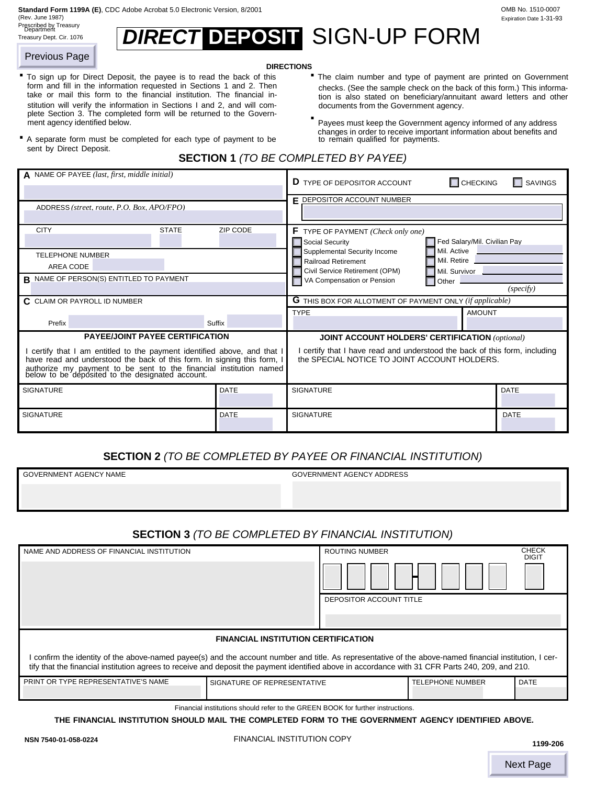**Standard Form 1199A (E)**, CDC Adobe Acrobat 5.0 Electronic Version, 8/2001 OMB No. 1510-0007

(Rev. June 1987) Prescribed by Treasury Department

| .<br>Prescribed by Treasury<br>Department<br>Treasury Dept. Cir. 1076 | <b>DIRECT DEPOSIT SIGN-UP FORM</b> |  |
|-----------------------------------------------------------------------|------------------------------------|--|
|                                                                       |                                    |  |

#### **DIRECTIONS**

- **DIRECTIONS**<br>To sign up for Direct Deposit, the payee is to read the back of this **The claim number and type of payment are printed on Government** form and fill in the information requested in Sections 1 and 2. Then take or mail this form to the financial institution. The financial institution will verify the information in Sections I and 2, and will complete Section 3. The completed form will be returned to the Government agency identified below. The example of any address must keep the Government agency informed of any address To sign up for Direct Deposit, the payee is to read the back of this
	- checks. (See the sample check on the back of this form.) This information is also stated on beneficiary/annuitant award letters and other documents from the Government agency. **.**
		- changes in order to receive important information about benefits and the remain qualified for payments.

Expiration Date 1-31-93

## **SECTION 1** *(TO BE COMPLETED BY PAYEE)*

| <b>Previous Page</b>                                                                                                                                                                                                                                                                                         |                                                                                                                                                                                                                                                                                                                                                                                                                                                 |                             | <b>DIRECTIONS</b>                                                                                                                                                                                                                                                                                                                                                                                                                                                                         |                              |                              |
|--------------------------------------------------------------------------------------------------------------------------------------------------------------------------------------------------------------------------------------------------------------------------------------------------------------|-------------------------------------------------------------------------------------------------------------------------------------------------------------------------------------------------------------------------------------------------------------------------------------------------------------------------------------------------------------------------------------------------------------------------------------------------|-----------------------------|-------------------------------------------------------------------------------------------------------------------------------------------------------------------------------------------------------------------------------------------------------------------------------------------------------------------------------------------------------------------------------------------------------------------------------------------------------------------------------------------|------------------------------|------------------------------|
| ment agency identified below.<br>sent by Direct Deposit.                                                                                                                                                                                                                                                     | " To sign up for Direct Deposit, the payee is to read the back of this<br>form and fill in the information requested in Sections 1 and 2. Then<br>take or mail this form to the financial institution. The financial in-<br>stitution will verify the information in Sections I and 2, and will com-<br>plete Section 3. The completed form will be returned to the Govern-<br>A separate form must be completed for each type of payment to be |                             | " The claim number and type of payment are printed on Government<br>checks. (See the sample check on the back of this form.) This informa-<br>tion is also stated on beneficiary/annuitant award letters and other<br>documents from the Government agency.<br>Payees must keep the Government agency informed of any address<br>changes in order to receive important information about benefits and<br>to remain qualified for payments.<br><b>SECTION 1 (TO BE COMPLETED BY PAYEE)</b> |                              |                              |
|                                                                                                                                                                                                                                                                                                              |                                                                                                                                                                                                                                                                                                                                                                                                                                                 |                             |                                                                                                                                                                                                                                                                                                                                                                                                                                                                                           |                              |                              |
|                                                                                                                                                                                                                                                                                                              | A NAME OF PAYEE (last, first, middle initial)                                                                                                                                                                                                                                                                                                                                                                                                   |                             | <b>D</b> TYPE OF DEPOSITOR ACCOUNT                                                                                                                                                                                                                                                                                                                                                                                                                                                        | $\Box$ CHECKING              | $\Box$ SAVINGS               |
|                                                                                                                                                                                                                                                                                                              | ADDRESS (street. route. P.O. Box. APO/FPO)                                                                                                                                                                                                                                                                                                                                                                                                      |                             | <b>F DEPOSITOR ACCOUNT NUMBER</b>                                                                                                                                                                                                                                                                                                                                                                                                                                                         |                              |                              |
| <b>CITY</b>                                                                                                                                                                                                                                                                                                  | <b>STATE</b>                                                                                                                                                                                                                                                                                                                                                                                                                                    | <b>ZIP CODE</b>             | <b>F</b> TYPE OF PAYMENT (Check only one)<br>Social Security                                                                                                                                                                                                                                                                                                                                                                                                                              | Fed Salary/Mil. Civilian Pay |                              |
| <b>TELEPHONE NUMBER</b>                                                                                                                                                                                                                                                                                      |                                                                                                                                                                                                                                                                                                                                                                                                                                                 |                             | <b>Supplemental Security Income</b><br><b>Railroad Retirement</b>                                                                                                                                                                                                                                                                                                                                                                                                                         | Mil. Active<br>Mil. Retire   |                              |
| AREA CODE                                                                                                                                                                                                                                                                                                    | <b>B</b> NAME OF PERSON(S) ENTITLED TO PAYMENT                                                                                                                                                                                                                                                                                                                                                                                                  |                             | Civil Service Retirement (OPM)                                                                                                                                                                                                                                                                                                                                                                                                                                                            | Mil. Survivor                |                              |
|                                                                                                                                                                                                                                                                                                              |                                                                                                                                                                                                                                                                                                                                                                                                                                                 |                             | VA Compensation or Pension                                                                                                                                                                                                                                                                                                                                                                                                                                                                | Other                        | (specify)                    |
| C CLAIM OR PAYROLL ID NUMBER                                                                                                                                                                                                                                                                                 |                                                                                                                                                                                                                                                                                                                                                                                                                                                 |                             | <b>G</b> THIS BOX FOR ALLOTMENT OF PAYMENT ONLY (if applicable)                                                                                                                                                                                                                                                                                                                                                                                                                           |                              |                              |
| Prefix                                                                                                                                                                                                                                                                                                       |                                                                                                                                                                                                                                                                                                                                                                                                                                                 | Suffix                      | <b>TYPE</b>                                                                                                                                                                                                                                                                                                                                                                                                                                                                               | <b>AMOUNT</b>                |                              |
|                                                                                                                                                                                                                                                                                                              | <b>PAYEE/JOINT PAYEE CERTIFICATION</b>                                                                                                                                                                                                                                                                                                                                                                                                          |                             | <b>JOINT ACCOUNT HOLDERS' CERTIFICATION (optional)</b>                                                                                                                                                                                                                                                                                                                                                                                                                                    |                              |                              |
|                                                                                                                                                                                                                                                                                                              | I certify that I am entitled to the payment identified above, and that I<br>have read and understood the back of this form. In signing this form, I<br>authorize my payment to be sent to the financial institution named below to be deposited to the designated account.                                                                                                                                                                      |                             | I certify that I have read and understood the back of this form, including<br>the SPECIAL NOTICE TO JOINT ACCOUNT HOLDERS.                                                                                                                                                                                                                                                                                                                                                                |                              |                              |
| SIGNATURE                                                                                                                                                                                                                                                                                                    |                                                                                                                                                                                                                                                                                                                                                                                                                                                 | <b>DATE</b>                 | <b>SIGNATURE</b>                                                                                                                                                                                                                                                                                                                                                                                                                                                                          |                              | <b>DATE</b>                  |
| <b>SIGNATURE</b>                                                                                                                                                                                                                                                                                             |                                                                                                                                                                                                                                                                                                                                                                                                                                                 | DATE                        | <b>SIGNATURE</b>                                                                                                                                                                                                                                                                                                                                                                                                                                                                          |                              | <b>DATE</b>                  |
| <b>SECTION 2</b> (TO BE COMPLETED BY PAYEE OR FINANCIAL INSTITUTION)<br><b>GOVERNMENT AGENCY NAME</b><br>GOVERNMENT AGENCY ADDRESS                                                                                                                                                                           |                                                                                                                                                                                                                                                                                                                                                                                                                                                 |                             |                                                                                                                                                                                                                                                                                                                                                                                                                                                                                           |                              |                              |
|                                                                                                                                                                                                                                                                                                              |                                                                                                                                                                                                                                                                                                                                                                                                                                                 |                             | <b>SECTION 3</b> (TO BE COMPLETED BY FINANCIAL INSTITUTION)                                                                                                                                                                                                                                                                                                                                                                                                                               |                              |                              |
|                                                                                                                                                                                                                                                                                                              | NAME AND ADDRESS OF FINANCIAL INSTITUTION                                                                                                                                                                                                                                                                                                                                                                                                       |                             | <b>ROUTING NUMBER</b>                                                                                                                                                                                                                                                                                                                                                                                                                                                                     |                              | <b>CHECK</b><br><b>DIGIT</b> |
|                                                                                                                                                                                                                                                                                                              |                                                                                                                                                                                                                                                                                                                                                                                                                                                 |                             |                                                                                                                                                                                                                                                                                                                                                                                                                                                                                           |                              |                              |
|                                                                                                                                                                                                                                                                                                              |                                                                                                                                                                                                                                                                                                                                                                                                                                                 |                             | DEPOSITOR ACCOUNT TITLE                                                                                                                                                                                                                                                                                                                                                                                                                                                                   |                              |                              |
|                                                                                                                                                                                                                                                                                                              |                                                                                                                                                                                                                                                                                                                                                                                                                                                 |                             |                                                                                                                                                                                                                                                                                                                                                                                                                                                                                           |                              |                              |
|                                                                                                                                                                                                                                                                                                              |                                                                                                                                                                                                                                                                                                                                                                                                                                                 |                             | <b>FINANCIAL INSTITUTION CERTIFICATION</b>                                                                                                                                                                                                                                                                                                                                                                                                                                                |                              |                              |
| I confirm the identity of the above-named payee(s) and the account number and title. As representative of the above-named financial institution, I cer-<br>tify that the financial institution agrees to receive and deposit the payment identified above in accordance with 31 CFR Parts 240, 209, and 210. |                                                                                                                                                                                                                                                                                                                                                                                                                                                 |                             |                                                                                                                                                                                                                                                                                                                                                                                                                                                                                           |                              |                              |
|                                                                                                                                                                                                                                                                                                              | PRINT OR TYPE REPRESENTATIVE'S NAME                                                                                                                                                                                                                                                                                                                                                                                                             | SIGNATURE OF REPRESENTATIVE |                                                                                                                                                                                                                                                                                                                                                                                                                                                                                           | <b>TELEPHONE NUMBER</b>      | <b>DATE</b>                  |
|                                                                                                                                                                                                                                                                                                              |                                                                                                                                                                                                                                                                                                                                                                                                                                                 |                             | Financial institutions should refer to the GREEN BOOK for further instructions.                                                                                                                                                                                                                                                                                                                                                                                                           |                              |                              |
|                                                                                                                                                                                                                                                                                                              |                                                                                                                                                                                                                                                                                                                                                                                                                                                 |                             | THE FINANCIAL INSTITUTION SHOULD MAIL THE COMPLETED FORM TO THE GOVERNMENT AGENCY IDENTIFIED ABOVE.                                                                                                                                                                                                                                                                                                                                                                                       |                              |                              |
| NSN 7540-01-058-0224                                                                                                                                                                                                                                                                                         |                                                                                                                                                                                                                                                                                                                                                                                                                                                 |                             | FINANCIAL INSTITUTION COPY                                                                                                                                                                                                                                                                                                                                                                                                                                                                |                              | 1199-206                     |
|                                                                                                                                                                                                                                                                                                              |                                                                                                                                                                                                                                                                                                                                                                                                                                                 |                             |                                                                                                                                                                                                                                                                                                                                                                                                                                                                                           |                              | <b>Next Page</b>             |

## **SECTION 2** *(TO BE COMPLETED BY PAYEE OR FINANCIAL INSTITUTION)*

## **SECTION 3** *(TO BE COMPLETED BY FINANCIAL INSTITUTION)*

| NAME AND ADDRESS OF FINANCIAL INSTITUTION                                                                                                                                                                                                                                                                  |                             | <b>ROUTING NUMBER</b>   |                         | <b>CHECK</b><br><b>DIGIT</b> |  |  |  |
|------------------------------------------------------------------------------------------------------------------------------------------------------------------------------------------------------------------------------------------------------------------------------------------------------------|-----------------------------|-------------------------|-------------------------|------------------------------|--|--|--|
|                                                                                                                                                                                                                                                                                                            |                             | DEPOSITOR ACCOUNT TITLE |                         |                              |  |  |  |
| <b>FINANCIAL INSTITUTION CERTIFICATION</b>                                                                                                                                                                                                                                                                 |                             |                         |                         |                              |  |  |  |
| confirm the identity of the above-named payee(s) and the account number and title. As representative of the above-named financial institution, I cer-<br>tify that the financial institution agrees to receive and deposit the payment identified above in accordance with 31 CFR Parts 240, 209, and 210. |                             |                         |                         |                              |  |  |  |
| PRINT OR TYPE REPRESENTATIVE'S NAME                                                                                                                                                                                                                                                                        | SIGNATURE OF REPRESENTATIVE |                         | <b>TELEPHONE NUMBER</b> | <b>DATE</b>                  |  |  |  |
|                                                                                                                                                                                                                                                                                                            |                             |                         |                         |                              |  |  |  |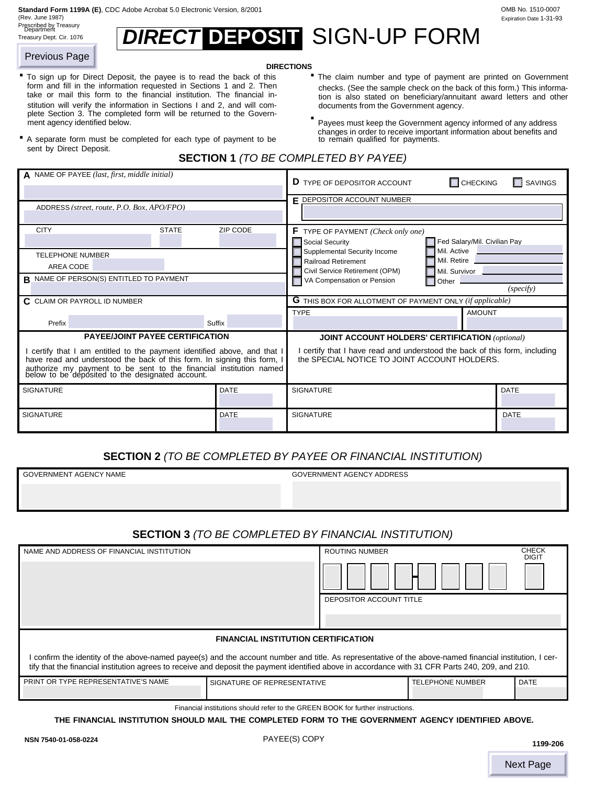**Standard Form 1199A (E)**, CDC Adobe Acrobat 5.0 Electronic Version, 8/2001 OMB No. 1510-0007

(Rev. June 1987) Prescribed by Treasury Department

| OMB No. 1510-0007       |
|-------------------------|
| Expiration Date 1-31-93 |
|                         |

# Treasury Dept. Cir. 1076 **Signarities,** SIGN-UP FORM

#### **DIRECTIONS**

- **DIRECTIONS**<br>To sign up for Direct Deposit, the payee is to read the back of this **The claim number and type of payment are printed on Government** form and fill in the information requested in Sections 1 and 2. Then take or mail this form to the financial institution. The financial institution will verify the information in Sections I and 2, and will complete Section 3. The completed form will be returned to the Government agency identified below. The example of any address must keep the Government agency informed of any address To sign up for Direct Deposit, the payee is to read the back of this
- sent by Direct Deposit. A separate form must be completed for each type of payment to be
- checks. (See the sample check on the back of this form.) This information is also stated on beneficiary/annuitant award letters and other documents from the Government agency. **.**
- changes in order to receive important information about benefits and the remain qualified for payments.

|  | <b>SECTION 1 (TO BE COMPLETED BY PAYEE)</b> |  |
|--|---------------------------------------------|--|
|--|---------------------------------------------|--|

| <b>Previous Page</b>                                     |                                                                                                                                                                                                                                                                                                                                                                                                                                                 |                             | <b>DIRECTIONS</b>                                                                                                                                                                                                                                                                                                                                                                                                                          |                                             |                              |  |  |
|----------------------------------------------------------|-------------------------------------------------------------------------------------------------------------------------------------------------------------------------------------------------------------------------------------------------------------------------------------------------------------------------------------------------------------------------------------------------------------------------------------------------|-----------------------------|--------------------------------------------------------------------------------------------------------------------------------------------------------------------------------------------------------------------------------------------------------------------------------------------------------------------------------------------------------------------------------------------------------------------------------------------|---------------------------------------------|------------------------------|--|--|
| ment agency identified below.<br>sent by Direct Deposit. | " To sign up for Direct Deposit, the payee is to read the back of this<br>form and fill in the information requested in Sections 1 and 2. Then<br>take or mail this form to the financial institution. The financial in-<br>stitution will verify the information in Sections I and 2, and will com-<br>plete Section 3. The completed form will be returned to the Govern-<br>A separate form must be completed for each type of payment to be |                             | " The claim number and type of payment are printed on Government<br>checks. (See the sample check on the back of this form.) This informa-<br>tion is also stated on beneficiary/annuitant award letters and other<br>documents from the Government agency.<br>Payees must keep the Government agency informed of any address<br>changes in order to receive important information about benefits and<br>to remain qualified for payments. |                                             |                              |  |  |
|                                                          |                                                                                                                                                                                                                                                                                                                                                                                                                                                 |                             | <b>SECTION 1 (TO BE COMPLETED BY PAYEE)</b>                                                                                                                                                                                                                                                                                                                                                                                                |                                             |                              |  |  |
|                                                          | A NAME OF PAYEE (last, first, middle initial)                                                                                                                                                                                                                                                                                                                                                                                                   |                             | <b>D</b> TYPE OF DEPOSITOR ACCOUNT                                                                                                                                                                                                                                                                                                                                                                                                         | $\Box$ CHECKING                             | $\Box$ SAVINGS               |  |  |
|                                                          | ADDRESS (street. route, P.O. Box, APO/FPO)                                                                                                                                                                                                                                                                                                                                                                                                      |                             | <b>F DEPOSITOR ACCOUNT NUMBER</b>                                                                                                                                                                                                                                                                                                                                                                                                          |                                             |                              |  |  |
| <b>CITY</b>                                              | <b>STATE</b>                                                                                                                                                                                                                                                                                                                                                                                                                                    | <b>ZIP CODE</b>             | <b>F</b> TYPE OF PAYMENT (Check only one)<br>Social Security                                                                                                                                                                                                                                                                                                                                                                               | Fed Salary/Mil. Civilian Pay                |                              |  |  |
| <b>TELEPHONE NUMBER</b><br>AREA CODE                     |                                                                                                                                                                                                                                                                                                                                                                                                                                                 |                             | Supplemental Security Income<br><b>Railroad Retirement</b><br>Civil Service Retirement (OPM)                                                                                                                                                                                                                                                                                                                                               | Mil. Active<br>Mil. Retire<br>Mil. Survivor |                              |  |  |
|                                                          | R NAME OF PERSON(S) ENTITLED TO PAYMENT                                                                                                                                                                                                                                                                                                                                                                                                         |                             | VA Compensation or Pension                                                                                                                                                                                                                                                                                                                                                                                                                 | Other                                       | (specify)                    |  |  |
| C CLAIM OR PAYROLL ID NUMBER                             |                                                                                                                                                                                                                                                                                                                                                                                                                                                 |                             | <b>G</b> THIS BOX FOR ALLOTMENT OF PAYMENT ONLY (if applicable)                                                                                                                                                                                                                                                                                                                                                                            |                                             |                              |  |  |
| Prefix                                                   |                                                                                                                                                                                                                                                                                                                                                                                                                                                 | Suffix                      | <b>TYPE</b>                                                                                                                                                                                                                                                                                                                                                                                                                                | <b>AMOUNT</b>                               |                              |  |  |
|                                                          | <b>PAYEE/JOINT PAYEE CERTIFICATION</b>                                                                                                                                                                                                                                                                                                                                                                                                          |                             | <b>JOINT ACCOUNT HOLDERS' CERTIFICATION (optional)</b>                                                                                                                                                                                                                                                                                                                                                                                     |                                             |                              |  |  |
|                                                          | I certify that I am entitled to the payment identified above, and that I<br>have read and understood the back of this form. In signing this form, I<br>authorize my payment to be sent to the financial institution named below to be deposited to the designated account.                                                                                                                                                                      |                             | I certify that I have read and understood the back of this form, including<br>the SPECIAL NOTICE TO JOINT ACCOUNT HOLDERS.                                                                                                                                                                                                                                                                                                                 |                                             |                              |  |  |
| <b>SIGNATURE</b>                                         |                                                                                                                                                                                                                                                                                                                                                                                                                                                 | <b>DATE</b>                 | <b>SIGNATURE</b>                                                                                                                                                                                                                                                                                                                                                                                                                           |                                             | <b>DATE</b>                  |  |  |
| <b>SIGNATURE</b>                                         |                                                                                                                                                                                                                                                                                                                                                                                                                                                 | DATE                        | <b>SIGNATURE</b>                                                                                                                                                                                                                                                                                                                                                                                                                           |                                             | <b>DATE</b>                  |  |  |
|                                                          | <b>SECTION 2</b> (TO BE COMPLETED BY PAYEE OR FINANCIAL INSTITUTION)                                                                                                                                                                                                                                                                                                                                                                            |                             |                                                                                                                                                                                                                                                                                                                                                                                                                                            |                                             |                              |  |  |
| <b>GOVERNMENT AGENCY NAME</b>                            |                                                                                                                                                                                                                                                                                                                                                                                                                                                 |                             | <b>GOVERNMENT AGENCY ADDRESS</b>                                                                                                                                                                                                                                                                                                                                                                                                           |                                             |                              |  |  |
|                                                          |                                                                                                                                                                                                                                                                                                                                                                                                                                                 |                             |                                                                                                                                                                                                                                                                                                                                                                                                                                            |                                             |                              |  |  |
|                                                          |                                                                                                                                                                                                                                                                                                                                                                                                                                                 |                             | <b>SECTION 3</b> (TO BE COMPLETED BY FINANCIAL INSTITUTION)                                                                                                                                                                                                                                                                                                                                                                                |                                             |                              |  |  |
|                                                          | NAME AND ADDRESS OF FINANCIAL INSTITUTION                                                                                                                                                                                                                                                                                                                                                                                                       |                             | <b>ROUTING NUMBER</b>                                                                                                                                                                                                                                                                                                                                                                                                                      |                                             | <b>CHECK</b><br><b>DIGIT</b> |  |  |
|                                                          |                                                                                                                                                                                                                                                                                                                                                                                                                                                 |                             |                                                                                                                                                                                                                                                                                                                                                                                                                                            |                                             |                              |  |  |
|                                                          | DEPOSITOR ACCOUNT TITLE                                                                                                                                                                                                                                                                                                                                                                                                                         |                             |                                                                                                                                                                                                                                                                                                                                                                                                                                            |                                             |                              |  |  |
|                                                          |                                                                                                                                                                                                                                                                                                                                                                                                                                                 |                             | <b>FINANCIAL INSTITUTION CERTIFICATION</b>                                                                                                                                                                                                                                                                                                                                                                                                 |                                             |                              |  |  |
|                                                          |                                                                                                                                                                                                                                                                                                                                                                                                                                                 |                             | I confirm the identity of the above-named payee(s) and the account number and title. As representative of the above-named financial institution, I cer-<br>tify that the financial institution agrees to receive and deposit the payment identified above in accordance with 31 CFR Parts 240, 209, and 210.                                                                                                                               |                                             |                              |  |  |
|                                                          | PRINT OR TYPE REPRESENTATIVE'S NAME                                                                                                                                                                                                                                                                                                                                                                                                             | SIGNATURE OF REPRESENTATIVE |                                                                                                                                                                                                                                                                                                                                                                                                                                            | <b>TELEPHONE NUMBER</b>                     | <b>DATE</b>                  |  |  |
|                                                          |                                                                                                                                                                                                                                                                                                                                                                                                                                                 |                             | Financial institutions should refer to the GREEN BOOK for further instructions.                                                                                                                                                                                                                                                                                                                                                            |                                             |                              |  |  |
|                                                          |                                                                                                                                                                                                                                                                                                                                                                                                                                                 |                             | THE FINANCIAL INSTITUTION SHOULD MAIL THE COMPLETED FORM TO THE GOVERNMENT AGENCY IDENTIFIED ABOVE.                                                                                                                                                                                                                                                                                                                                        |                                             |                              |  |  |
| NSN 7540-01-058-0224                                     |                                                                                                                                                                                                                                                                                                                                                                                                                                                 |                             | PAYEE(S) COPY                                                                                                                                                                                                                                                                                                                                                                                                                              |                                             | 1199-206                     |  |  |
|                                                          |                                                                                                                                                                                                                                                                                                                                                                                                                                                 |                             |                                                                                                                                                                                                                                                                                                                                                                                                                                            |                                             | <b>Next Page</b>             |  |  |

# **SECTION 2** *(TO BE COMPLETED BY PAYEE OR FINANCIAL INSTITUTION)*

## **SECTION 3** *(TO BE COMPLETED BY FINANCIAL INSTITUTION)*

| NAME AND ADDRESS OF FINANCIAL INSTITUTION                                                                                                                                                                                                                                                                  | <b>ROUTING NUMBER</b>       |  |                         | <b>CHECK</b><br><b>DIGIT</b> |             |  |  |
|------------------------------------------------------------------------------------------------------------------------------------------------------------------------------------------------------------------------------------------------------------------------------------------------------------|-----------------------------|--|-------------------------|------------------------------|-------------|--|--|
|                                                                                                                                                                                                                                                                                                            | DEPOSITOR ACCOUNT TITLE     |  |                         |                              |             |  |  |
| <b>FINANCIAL INSTITUTION CERTIFICATION</b>                                                                                                                                                                                                                                                                 |                             |  |                         |                              |             |  |  |
| confirm the identity of the above-named payee(s) and the account number and title. As representative of the above-named financial institution, I cer-<br>tify that the financial institution agrees to receive and deposit the payment identified above in accordance with 31 CFR Parts 240, 209, and 210. |                             |  |                         |                              |             |  |  |
| PRINT OR TYPE REPRESENTATIVE'S NAME                                                                                                                                                                                                                                                                        | SIGNATURE OF REPRESENTATIVE |  | <b>TELEPHONE NUMBER</b> |                              | <b>DATE</b> |  |  |